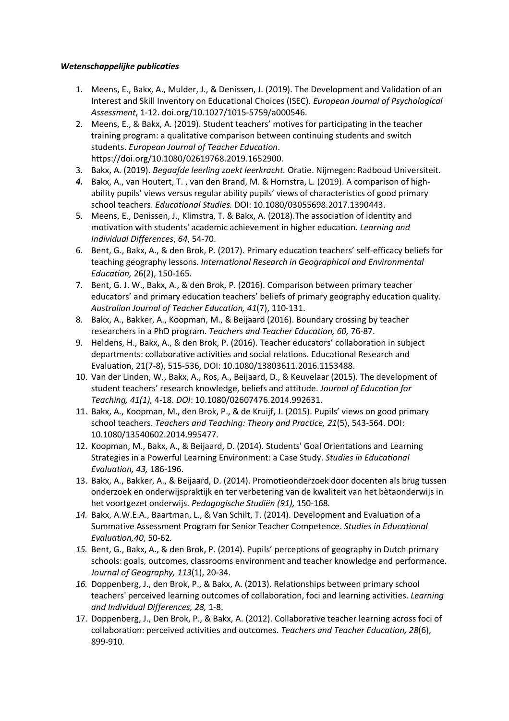## *Wetenschappelijke publicaties*

- 1. Meens, E., Bakx, A., Mulder, J., & Denissen, J. (2019). The Development and Validation of an Interest and Skill Inventory on Educational Choices (ISEC). *European Journal of Psychological Assessment*, 1-12. doi.org/10.1027/1015-5759/a000546.
- 2. Meens, E., & Bakx, A. (2019). Student teachers' motives for participating in the teacher training program: a qualitative comparison between continuing students and switch students. *European Journal of Teacher Education*. https://doi.org/10.1080/02619768.2019.1652900.
- 3. Bakx, A. (2019). *Begaafde leerling zoekt leerkracht.* Oratie. Nijmegen: Radboud Universiteit.
- *4.* Bakx, A., van Houtert, T. , van den Brand, M. & Hornstra, L. (2019). A comparison of highability pupils' views versus regular ability pupils' views of characteristics of good primary school teachers. *Educational Studies.* DOI: 10.1080/03055698.2017.1390443.
- 5. Meens, E., Denissen, J., Klimstra, T. & Bakx, A. (2018).The association of identity and motivation with students' academic achievement in higher education. *Learning and Individual Differences*, *64*, 54-70.
- 6. Bent, G., Bakx, A., & den Brok, P. (2017). Primary education teachers' self-efficacy beliefs for teaching geography lessons. *International Research in Geographical and Environmental Education,* 26(2), 150-165.
- 7. Bent, G. J. W., Bakx, A., & den Brok, P. (2016). Comparison between primary teacher educators' and primary education teachers' beliefs of primary geography education quality. *Australian Journal of Teacher Education, 41*(7), 110-131.
- 8. Bakx, A., Bakker, A., Koopman, M., & Beijaard (2016). Boundary crossing by teacher researchers in a PhD program. *Teachers and Teacher Education, 60,* 76-87.
- 9. Heldens, H., Bakx, A., & den Brok, P. (2016). Teacher educators' collaboration in subject departments: collaborative activities and social relations. Educational Research and Evaluation, 21(7-8), 515-536, DOI: 10.1080/13803611.2016.1153488.
- 10. Van der Linden, W., Bakx, A., Ros, A., Beijaard, D., & Keuvelaar (2015). The development of student teachers' research knowledge, beliefs and attitude. *Journal of Education for Teaching, 41(1),* 4-18. *DOI*: 10.1080/02607476.2014.992631.
- 11. Bakx, A., Koopman, M., den Brok, P., & de Kruijf, J. (2015). Pupils' views on good primary school teachers. *Teachers and Teaching: Theory and Practice, 21*(5), 543-564. DOI: 10.1080/13540602.2014.995477.
- 12. Koopman, M., Bakx, A., & Beijaard, D. (2014). Students' Goal Orientations and Learning Strategies in a Powerful Learning Environment: a Case Study. *Studies in Educational Evaluation, 43,* 186-196.
- 13. Bakx, A., Bakker, A., & Beijaard, D. (2014). Promotieonderzoek door docenten als brug tussen onderzoek en onderwijspraktijk en ter verbetering van de kwaliteit van het bètaonderwijs in het voortgezet onderwijs. *Pedagogische Studiën (91),* 150-168*.*
- *14.* Bakx, A.W.E.A., Baartman, L., & Van Schilt, T. (2014). Development and Evaluation of a Summative Assessment Program for Senior Teacher Competence. *Studies in Educational Evaluation,40*, 50-62*.*
- *15.* Bent, G., Bakx, A., & den Brok, P. (2014). Pupils' perceptions of geography in Dutch primary schools: goals, outcomes, classrooms environment and teacher knowledge and performance. *Journal of Geography, 113*(1), 20-34.
- *16.* Doppenberg, J., den Brok, P., & Bakx, A. (2013). Relationships between primary school teachers' perceived learning outcomes of collaboration, foci and learning activities. *Learning and Individual Differences, 28,* 1-8.
- 17. Doppenberg, J., Den Brok, P., & Bakx, A. (2012). Collaborative teacher learning across foci of collaboration: perceived activities and outcomes. *Teachers and Teacher Education, 28*(6), 899-910*.*